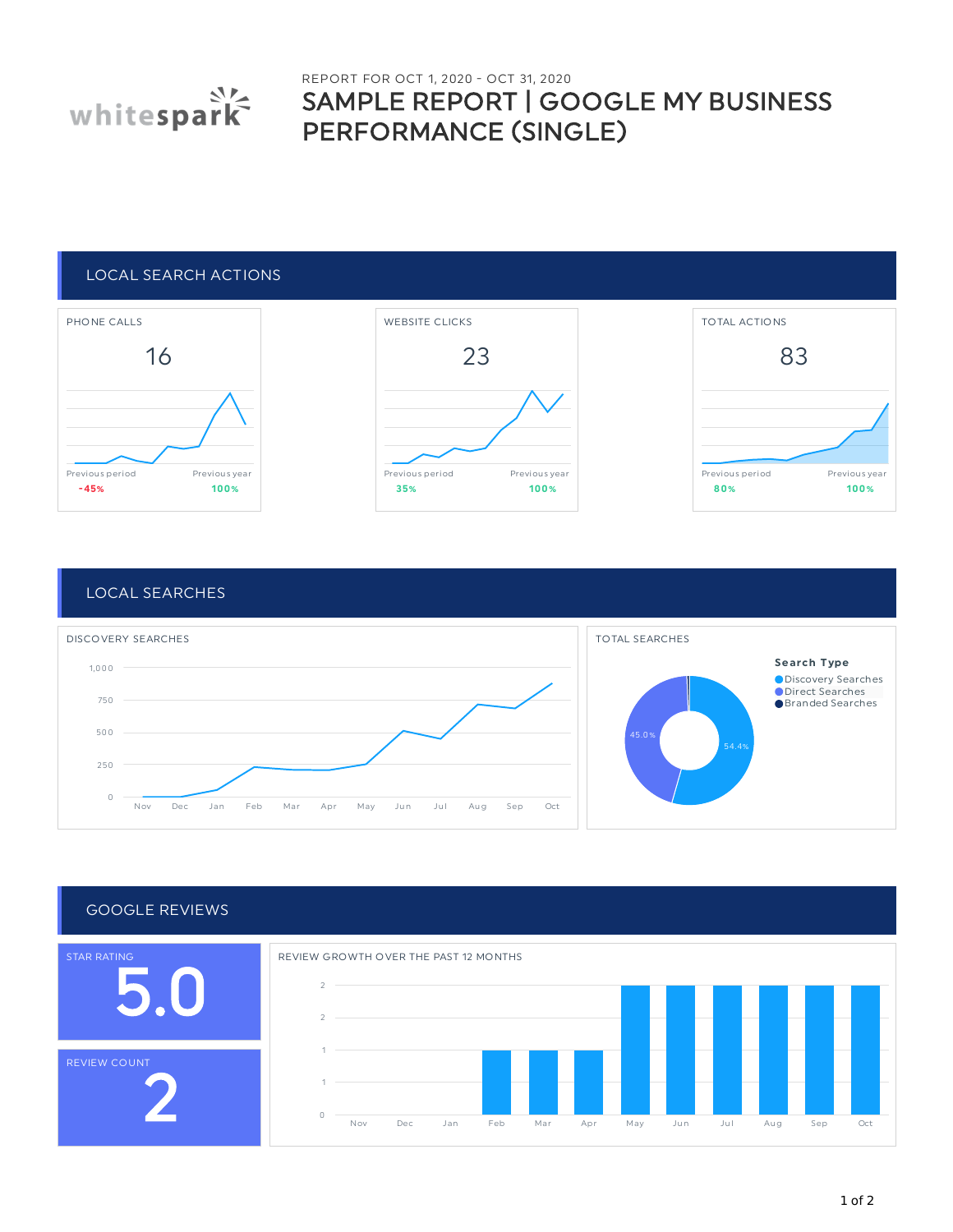

# REPORT FOR OCT 1, 2020 - OCT 31, 2020 SAMPLE REPORT | GOOGLE MY BUSINESS PERFORMANCE (SINGLE)

### LOCAL SEARCH ACTIONS



## LOCAL SEARCHES